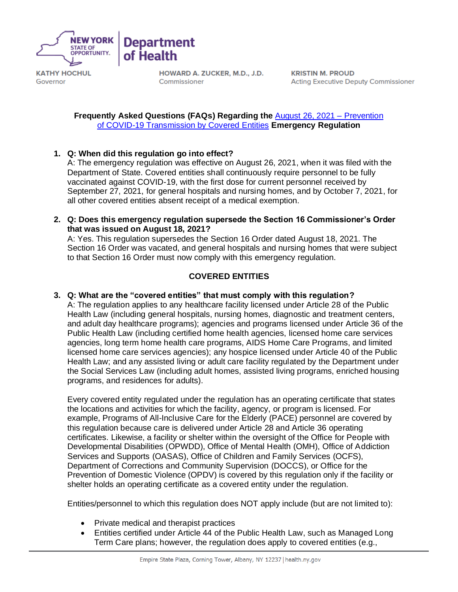

Governor

HOWARD A. ZUCKER, M.D., J.D. Commissioner

**KRISTIN M. PROUD Acting Executive Deputy Commissioner** 

**Frequently Asked Questions (FAQs) Regarding the** [August 26, 2021 –](https://regs.health.ny.gov/sites/default/files/pdf/emergency_regulations/Prevention%20of%20COVID-19%20Transmission%20by%20Covered%20Entities.pdf) Prevention [of COVID-19 Transmission by Covered Entities](https://regs.health.ny.gov/sites/default/files/pdf/emergency_regulations/Prevention%20of%20COVID-19%20Transmission%20by%20Covered%20Entities.pdf) **Emergency Regulation** 

**1. Q: When did this regulation go into effect?**

**Department** 

of Health

A: The emergency regulation was effective on August 26, 2021, when it was filed with the Department of State. Covered entities shall continuously require personnel to be fully vaccinated against COVID-19, with the first dose for current personnel received by September 27, 2021, for general hospitals and nursing homes, and by October 7, 2021, for all other covered entities absent receipt of a medical exemption.

**2. Q: Does this emergency regulation supersede the Section 16 Commissioner's Order that was issued on August 18, 2021?**

A: Yes. This regulation supersedes the Section 16 Order dated August 18, 2021. The Section 16 Order was vacated, and general hospitals and nursing homes that were subject to that Section 16 Order must now comply with this emergency regulation.

# **COVERED ENTITIES**

**3. Q: What are the "covered entities" that must comply with this regulation?**

A: The regulation applies to any healthcare facility licensed under Article 28 of the Public Health Law (including general hospitals, nursing homes, diagnostic and treatment centers, and adult day healthcare programs); agencies and programs licensed under Article 36 of the Public Health Law (including certified home health agencies, licensed home care services agencies, long term home health care programs, AIDS Home Care Programs, and limited licensed home care services agencies); any hospice licensed under Article 40 of the Public Health Law; and any assisted living or adult care facility regulated by the Department under the Social Services Law (including adult homes, assisted living programs, enriched housing programs, and residences for adults).

Every covered entity regulated under the regulation has an operating certificate that states the locations and activities for which the facility, agency, or program is licensed. For example, Programs of All-Inclusive Care for the Elderly (PACE) personnel are covered by this regulation because care is delivered under Article 28 and Article 36 operating certificates. Likewise, a facility or shelter within the oversight of the Office for People with Developmental Disabilities (OPWDD), Office of Mental Health (OMH), Office of Addiction Services and Supports (OASAS), Office of Children and Family Services (OCFS), Department of Corrections and Community Supervision (DOCCS), or Office for the Prevention of Domestic Violence (OPDV) is covered by this regulation only if the facility or shelter holds an operating certificate as a covered entity under the regulation.

Entities/personnel to which this regulation does NOT apply include (but are not limited to):

- Private medical and therapist practices
- Entities certified under Article 44 of the Public Health Law, such as Managed Long Term Care plans; however, the regulation does apply to covered entities (e.g.,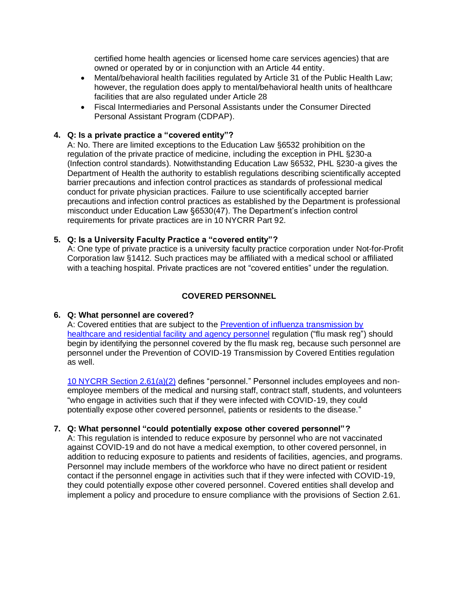certified home health agencies or licensed home care services agencies) that are owned or operated by or in conjunction with an Article 44 entity.

- Mental/behavioral health facilities regulated by Article 31 of the Public Health Law; however, the regulation does apply to mental/behavioral health units of healthcare facilities that are also regulated under Article 28
- Fiscal Intermediaries and Personal Assistants under the Consumer Directed Personal Assistant Program (CDPAP).

# **4. Q: Is a private practice a "covered entity"?**

A: No. There are limited exceptions to the Education Law §6532 prohibition on the regulation of the private practice of medicine, including the exception in PHL §230-a (Infection control standards). Notwithstanding Education Law §6532, PHL §230-a gives the Department of Health the authority to establish regulations describing scientifically accepted barrier precautions and infection control practices as standards of professional medical conduct for private physician practices. Failure to use scientifically accepted barrier precautions and infection control practices as established by the Department is professional misconduct under Education Law §6530(47). The Department's infection control requirements for private practices are in 10 NYCRR Part 92.

### **5. Q: Is a University Faculty Practice a "covered entity"?**

A: One type of private practice is a university faculty practice corporation under Not-for-Profit Corporation law §1412. Such practices may be affiliated with a medical school or affiliated with a teaching hospital. Private practices are not "covered entities" under the regulation.

## **COVERED PERSONNEL**

### **6. Q: What personnel are covered?**

A: Covered entities that are subject to the Prevention of influenza transmission by [healthcare and residential facility and agency personnel](https://regs.health.ny.gov/content/section-259-prevention-influenza-transmission-healthcare-and-residential-facility-and-agency) regulation ("flu mask reg") should begin by identifying the personnel covered by the flu mask reg, because such personnel are personnel under the Prevention of COVID-19 Transmission by Covered Entities regulation as well.

[10 NYCRR Section 2.61\(a\)\(2\)](https://regs.health.ny.gov/sites/default/files/pdf/emergency_regulations/Prevention%20of%20COVID-19%20Transmission%20by%20Covered%20Entities.pdf) defines "personnel." Personnel includes employees and nonemployee members of the medical and nursing staff, contract staff, students, and volunteers "who engage in activities such that if they were infected with COVID-19, they could potentially expose other covered personnel, patients or residents to the disease."

### **7. Q: What personnel "could potentially expose other covered personnel"?**

A: This regulation is intended to reduce exposure by personnel who are not vaccinated against COVID-19 and do not have a medical exemption, to other covered personnel, in addition to reducing exposure to patients and residents of facilities, agencies, and programs. Personnel may include members of the workforce who have no direct patient or resident contact if the personnel engage in activities such that if they were infected with COVID-19, they could potentially expose other covered personnel. Covered entities shall develop and implement a policy and procedure to ensure compliance with the provisions of Section 2.61.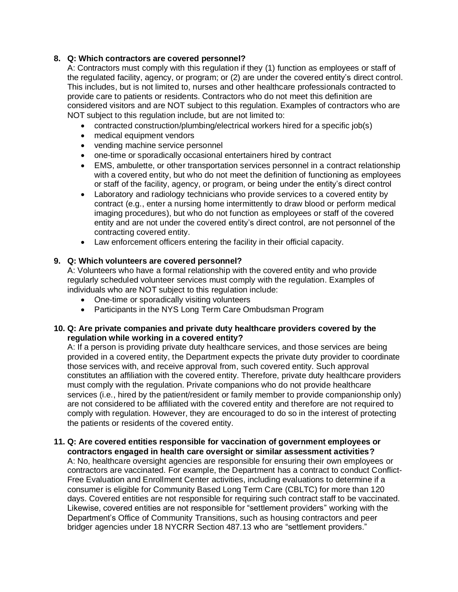# **8. Q: Which contractors are covered personnel?**

A: Contractors must comply with this regulation if they (1) function as employees or staff of the regulated facility, agency, or program; or (2) are under the covered entity's direct control. This includes, but is not limited to, nurses and other healthcare professionals contracted to provide care to patients or residents. Contractors who do not meet this definition are considered visitors and are NOT subject to this regulation. Examples of contractors who are NOT subject to this regulation include, but are not limited to:

- contracted construction/plumbing/electrical workers hired for a specific job(s)
- medical equipment vendors
- vending machine service personnel
- one-time or sporadically occasional entertainers hired by contract
- EMS, ambulette, or other transportation services personnel in a contract relationship with a covered entity, but who do not meet the definition of functioning as employees or staff of the facility, agency, or program, or being under the entity's direct control
- Laboratory and radiology technicians who provide services to a covered entity by contract (e.g., enter a nursing home intermittently to draw blood or perform medical imaging procedures), but who do not function as employees or staff of the covered entity and are not under the covered entity's direct control, are not personnel of the contracting covered entity.
- Law enforcement officers entering the facility in their official capacity.

# **9. Q: Which volunteers are covered personnel?**

A: Volunteers who have a formal relationship with the covered entity and who provide regularly scheduled volunteer services must comply with the regulation. Examples of individuals who are NOT subject to this regulation include:

- One-time or sporadically visiting volunteers
- Participants in the NYS Long Term Care Ombudsman Program

# **10. Q: Are private companies and private duty healthcare providers covered by the regulation while working in a covered entity?**

A: If a person is providing private duty healthcare services, and those services are being provided in a covered entity, the Department expects the private duty provider to coordinate those services with, and receive approval from, such covered entity. Such approval constitutes an affiliation with the covered entity. Therefore, private duty healthcare providers must comply with the regulation. Private companions who do not provide healthcare services (i.e., hired by the patient/resident or family member to provide companionship only) are not considered to be affiliated with the covered entity and therefore are not required to comply with regulation. However, they are encouraged to do so in the interest of protecting the patients or residents of the covered entity.

### **11. Q: Are covered entities responsible for vaccination of government employees or contractors engaged in health care oversight or similar assessment activities?**

A: No, healthcare oversight agencies are responsible for ensuring their own employees or contractors are vaccinated. For example, the Department has a contract to conduct Conflict-Free Evaluation and Enrollment Center activities, including evaluations to determine if a consumer is eligible for Community Based Long Term Care (CBLTC) for more than 120 days. Covered entities are not responsible for requiring such contract staff to be vaccinated. Likewise, covered entities are not responsible for "settlement providers" working with the Department's Office of Community Transitions, such as housing contractors and peer bridger agencies under 18 NYCRR Section 487.13 who are "settlement providers."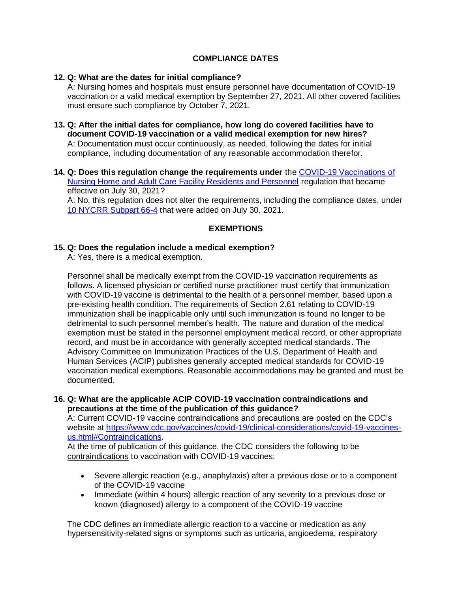# **COMPLIANCE DATES**

## **12. Q: What are the dates for initial compliance?**

A: Nursing homes and hospitals must ensure personnel have documentation of COVID-19 vaccination or a valid medical exemption by September 27, 2021. All other covered facilities must ensure such compliance by October 7, 2021.

- **13. Q: After the initial dates for compliance, how long do covered facilities have to document COVID-19 vaccination or a valid medical exemption for new hires?** A: Documentation must occur continuously, as needed, following the dates for initial compliance, including documentation of any reasonable accommodation therefor.
- **14. Q: Does this regulation change the requirements under** the [COVID-19 Vaccinations of](https://regs.health.ny.gov/sites/default/files/pdf/emergency_regulations/COVID-19%20Vaccinations%20of%20Nursing%20Home%20and%20Adult%20Care%20Facility%20Residents%20and%20Personnel_1.pdf)  [Nursing Home and Adult Care Facility Residents and Personnel](https://regs.health.ny.gov/sites/default/files/pdf/emergency_regulations/COVID-19%20Vaccinations%20of%20Nursing%20Home%20and%20Adult%20Care%20Facility%20Residents%20and%20Personnel_1.pdf) regulation that became effective on July 30, 2021?

A: No, this regulation does not alter the requirements, including the compliance dates, under [10 NYCRR Subpart 66-4](https://regs.health.ny.gov/volume-1a-title-10/content/subpart-66-4-covid-19-nursing-home-and-adult-care-facility-vaccination) that were added on July 30, 2021.

# **EXEMPTIONS**

### **15. Q: Does the regulation include a medical exemption?**

A: Yes, there is a medical exemption.

Personnel shall be medically exempt from the COVID-19 vaccination requirements as follows. A licensed physician or certified nurse practitioner must certify that immunization with COVID-19 vaccine is detrimental to the health of a personnel member, based upon a pre-existing health condition. The requirements of Section 2.61 relating to COVID-19 immunization shall be inapplicable only until such immunization is found no longer to be detrimental to such personnel member's health. The nature and duration of the medical exemption must be stated in the personnel employment medical record, or other appropriate record, and must be in accordance with generally accepted medical standards. The Advisory Committee on Immunization Practices of the U.S. Department of Health and Human Services (ACIP) publishes generally accepted medical standards for COVID-19 vaccination medical exemptions. Reasonable accommodations may be granted and must be documented.

### **16. Q: What are the applicable ACIP COVID-19 vaccination contraindications and precautions at the time of the publication of this guidance?**

A: Current COVID-19 vaccine contraindications and precautions are posted on the CDC's website at [https://www.cdc.gov/vaccines/covid-19/clinical-considerations/covid-19-vaccines](https://www.cdc.gov/vaccines/covid-19/clinical-considerations/covid-19-vaccines-us.html#Contraindications)[us.html#Contraindications.](https://www.cdc.gov/vaccines/covid-19/clinical-considerations/covid-19-vaccines-us.html#Contraindications)

At the time of publication of this guidance, the CDC considers the following to be contraindications to vaccination with COVID-19 vaccines:

- Severe allergic reaction (e.g., anaphylaxis) after a previous dose or to a component of the COVID-19 vaccine
- Immediate (within 4 hours) allergic reaction of any severity to a previous dose or known (diagnosed) allergy to a component of the COVID-19 vaccine

The CDC defines an immediate allergic reaction to a vaccine or medication as any hypersensitivity-related signs or symptoms such as urticaria, angioedema, respiratory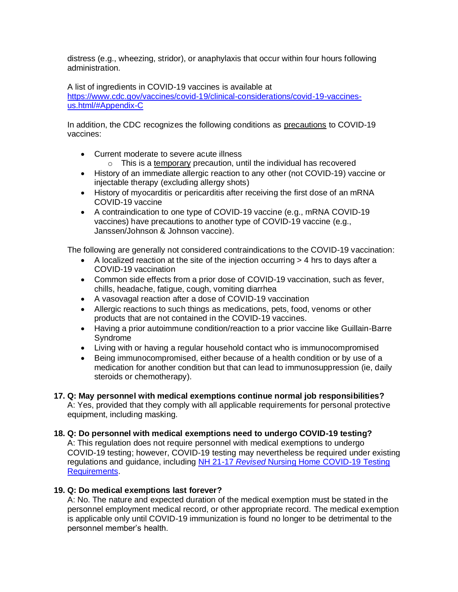distress (e.g., wheezing, stridor), or anaphylaxis that occur within four hours following administration.

A list of ingredients in COVID-19 vaccines is available at [https://www.cdc.gov/vaccines/covid-19/clinical-considerations/covid-19-vaccines](https://www.cdc.gov/vaccines/covid-19/clinical-considerations/covid-19-vaccines-us.html/#Appendix-C)[us.html/#Appendix-C](https://www.cdc.gov/vaccines/covid-19/clinical-considerations/covid-19-vaccines-us.html/#Appendix-C)

In addition, the CDC recognizes the following conditions as precautions to COVID-19 vaccines:

- Current moderate to severe acute illness
	- $\circ$  This is a temporary precaution, until the individual has recovered
- History of an immediate allergic reaction to any other (not COVID-19) vaccine or injectable therapy (excluding allergy shots)
- History of myocarditis or pericarditis after receiving the first dose of an mRNA COVID-19 vaccine
- A contraindication to one type of COVID-19 vaccine (e.g., mRNA COVID-19 vaccines) have precautions to another type of COVID-19 vaccine (e.g., Janssen/Johnson & Johnson vaccine).

The following are generally not considered contraindications to the COVID-19 vaccination:

- A localized reaction at the site of the injection occurring  $>$  4 hrs to days after a COVID-19 vaccination
- Common side effects from a prior dose of COVID-19 vaccination, such as fever, chills, headache, fatigue, cough, vomiting diarrhea
- A vasovagal reaction after a dose of COVID-19 vaccination
- Allergic reactions to such things as medications, pets, food, venoms or other products that are not contained in the COVID-19 vaccines.
- Having a prior autoimmune condition/reaction to a prior vaccine like Guillain-Barre Syndrome
- Living with or having a regular household contact who is immunocompromised
- Being immunocompromised, either because of a health condition or by use of a medication for another condition but that can lead to immunosuppression (ie, daily steroids or chemotherapy).
- **17. Q: May personnel with medical exemptions continue normal job responsibilities?** A: Yes, provided that they comply with all applicable requirements for personal protective equipment, including masking.
- **18. Q: Do personnel with medical exemptions need to undergo COVID-19 testing?** A: This regulation does not require personnel with medical exemptions to undergo COVID-19 testing; however, COVID-19 testing may nevertheless be required under existing regulations and guidance, including NH 21-17 *Revised* [Nursing Home COVID-19 Testing](https://www.health.ny.gov/professionals/nursing_home_administrator/dal/docs/dal_nh_21-17.pdf)  [Requirements.](https://www.health.ny.gov/professionals/nursing_home_administrator/dal/docs/dal_nh_21-17.pdf)

# **19. Q: Do medical exemptions last forever?**

A: No. The nature and expected duration of the medical exemption must be stated in the personnel employment medical record, or other appropriate record. The medical exemption is applicable only until COVID-19 immunization is found no longer to be detrimental to the personnel member's health.